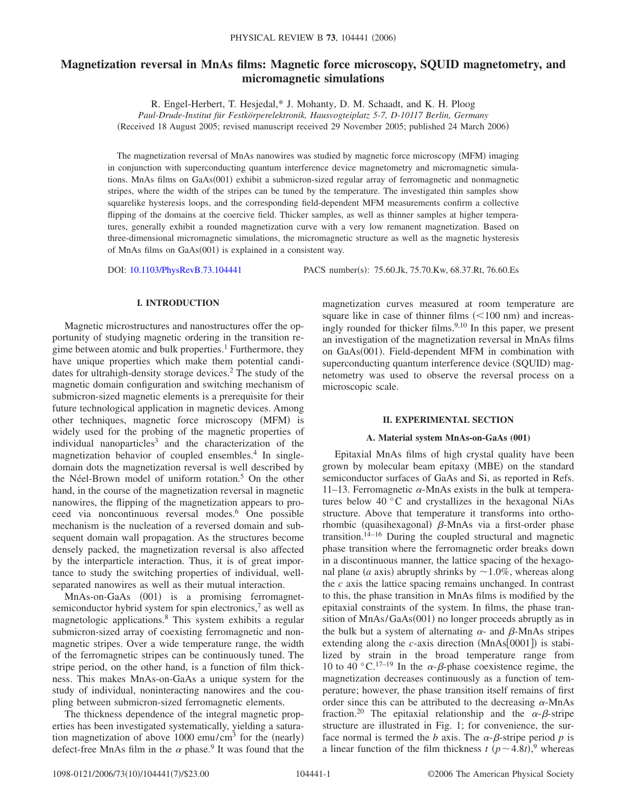# **Magnetization reversal in MnAs films: Magnetic force microscopy, SQUID magnetometry, and micromagnetic simulations**

R. Engel-Herbert, T. Hesjedal,\* J. Mohanty, D. M. Schaadt, and K. H. Ploog

*Paul-Drude-Institut für Festkörperelektronik, Hausvogteiplatz 5-7, D-10117 Berlin, Germany*

(Received 18 August 2005; revised manuscript received 29 November 2005; published 24 March 2006)

The magnetization reversal of MnAs nanowires was studied by magnetic force microscopy (MFM) imaging in conjunction with superconducting quantum interference device magnetometry and micromagnetic simulations. MnAs films on GaAs(001) exhibit a submicron-sized regular array of ferromagnetic and nonmagnetic stripes, where the width of the stripes can be tuned by the temperature. The investigated thin samples show squarelike hysteresis loops, and the corresponding field-dependent MFM measurements confirm a collective flipping of the domains at the coercive field. Thicker samples, as well as thinner samples at higher temperatures, generally exhibit a rounded magnetization curve with a very low remanent magnetization. Based on three-dimensional micromagnetic simulations, the micromagnetic structure as well as the magnetic hysteresis of MnAs films on GaAs(001) is explained in a consistent way.

DOI: [10.1103/PhysRevB.73.104441](http://dx.doi.org/10.1103/PhysRevB.73.104441)

PACS number(s): 75.60.Jk, 75.70.Kw, 68.37.Rt, 76.60.Es

## **I. INTRODUCTION**

Magnetic microstructures and nanostructures offer the opportunity of studying magnetic ordering in the transition regime between atomic and bulk properties.<sup>1</sup> Furthermore, they have unique properties which make them potential candidates for ultrahigh-density storage devices.<sup>2</sup> The study of the magnetic domain configuration and switching mechanism of submicron-sized magnetic elements is a prerequisite for their future technological application in magnetic devices. Among other techniques, magnetic force microscopy (MFM) is widely used for the probing of the magnetic properties of individual nanoparticles<sup>3</sup> and the characterization of the magnetization behavior of coupled ensembles.<sup>4</sup> In singledomain dots the magnetization reversal is well described by the Néel-Brown model of uniform rotation.<sup>5</sup> On the other hand, in the course of the magnetization reversal in magnetic nanowires, the flipping of the magnetization appears to proceed via noncontinuous reversal modes.6 One possible mechanism is the nucleation of a reversed domain and subsequent domain wall propagation. As the structures become densely packed, the magnetization reversal is also affected by the interparticle interaction. Thus, it is of great importance to study the switching properties of individual, wellseparated nanowires as well as their mutual interaction.

MnAs-on-GaAs (001) is a promising ferromagnetsemiconductor hybrid system for spin electronics, $\frac{7}{1}$  as well as magnetologic applications.8 This system exhibits a regular submicron-sized array of coexisting ferromagnetic and nonmagnetic stripes. Over a wide temperature range, the width of the ferromagnetic stripes can be continuously tuned. The stripe period, on the other hand, is a function of film thickness. This makes MnAs-on-GaAs a unique system for the study of individual, noninteracting nanowires and the coupling between submicron-sized ferromagnetic elements.

The thickness dependence of the integral magnetic properties has been investigated systematically, yielding a saturation magnetization of above  $1000$  emu/cm<sup>3</sup> for the (nearly) defect-free MnAs film in the  $\alpha$  phase.<sup>9</sup> It was found that the

magnetization curves measured at room temperature are square like in case of thinner films  $(<100$  nm) and increasingly rounded for thicker films. $9,10$  In this paper, we present an investigation of the magnetization reversal in MnAs films on GaAs(001). Field-dependent MFM in combination with superconducting quantum interference device (SQUID) magnetometry was used to observe the reversal process on a microscopic scale.

## **II. EXPERIMENTAL SECTION**

## **A. Material system MnAs-on-GaAs (001)**

Epitaxial MnAs films of high crystal quality have been grown by molecular beam epitaxy (MBE) on the standard semiconductor surfaces of GaAs and Si, as reported in Refs. 11–13. Ferromagnetic  $\alpha$ -MnAs exists in the bulk at temperatures below  $40^{\circ}$ C and crystallizes in the hexagonal NiAs structure. Above that temperature it transforms into orthorhombic (quasihexagonal)  $\beta$ -MnAs via a first-order phase transition.14–16 During the coupled structural and magnetic phase transition where the ferromagnetic order breaks down in a discontinuous manner, the lattice spacing of the hexagonal plane (*a* axis) abruptly shrinks by  $\sim$  1.0%, whereas along the *c* axis the lattice spacing remains unchanged. In contrast to this, the phase transition in MnAs films is modified by the epitaxial constraints of the system. In films, the phase transition of MnAs/GaAs(001) no longer proceeds abruptly as in the bulk but a system of alternating  $\alpha$ - and  $\beta$ -MnAs stripes extending along the  $c$ -axis direction (MnAs $[0001]$ ) is stabilized by strain in the broad temperature range from 10 to 40 °C.<sup>17–19</sup> In the  $\alpha$ - $\beta$ -phase coexistence regime, the magnetization decreases continuously as a function of temperature; however, the phase transition itself remains of first order since this can be attributed to the decreasing  $\alpha$ -MnAs fraction.<sup>20</sup> The epitaxial relationship and the  $\alpha$ - $\beta$ -stripe structure are illustrated in Fig. 1; for convenience, the surface normal is termed the *b* axis. The  $\alpha$ - $\beta$ -stripe period *p* is a linear function of the film thickness  $t (p \sim 4.8t)$ ,<sup>9</sup> whereas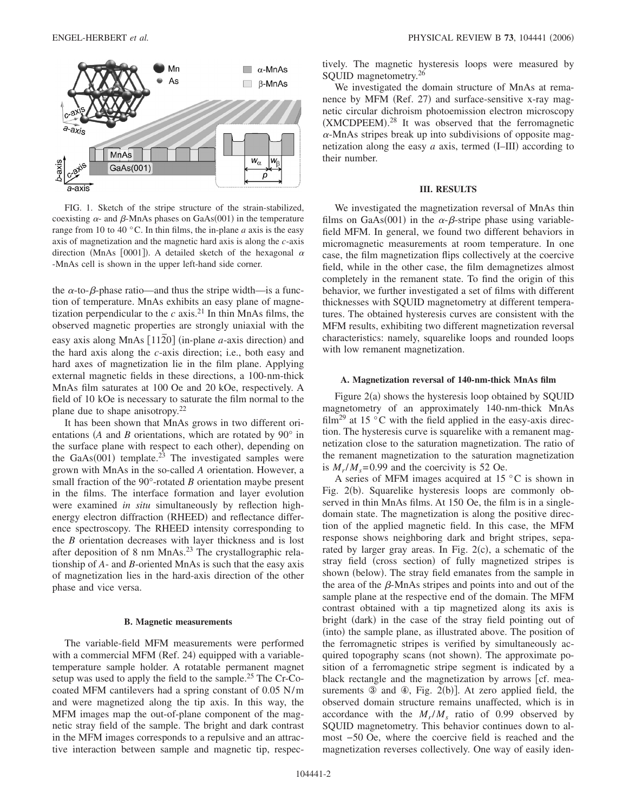

FIG. 1. Sketch of the stripe structure of the strain-stabilized, coexisting  $\alpha$ - and  $\beta$ -MnAs phases on GaAs(001) in the temperature range from 10 to 40  $\degree$ C. In thin films, the in-plane *a* axis is the easy axis of magnetization and the magnetic hard axis is along the *c*-axis direction (MnAs [0001]). A detailed sketch of the hexagonal  $\alpha$ -MnAs cell is shown in the upper left-hand side corner.

the  $\alpha$ -to- $\beta$ -phase ratio—and thus the stripe width—is a function of temperature. MnAs exhibits an easy plane of magnetization perpendicular to the  $c$  axis.<sup>21</sup> In thin MnAs films, the observed magnetic properties are strongly uniaxial with the  $\frac{1}{2}$  and  $\frac{1}{2}$  in  $\frac{1}{2}$  in  $\frac{1}{2}$  in  $\frac{1}{2}$  in  $\frac{1}{2}$  in  $\frac{1}{2}$  and  $\frac{1}{2}$  and  $\frac{1}{2}$  and  $\frac{1}{2}$  and  $\frac{1}{2}$  and  $\frac{1}{2}$  and  $\frac{1}{2}$  and  $\frac{1}{2}$  and  $\frac{1}{2}$  and  $\frac{1}{2}$  and  $\$ the hard axis along the *c*-axis direction; i.e., both easy and hard axes of magnetization lie in the film plane. Applying external magnetic fields in these directions, a 100-nm-thick MnAs film saturates at 100 Oe and 20 kOe, respectively. A field of 10 kOe is necessary to saturate the film normal to the plane due to shape anisotropy.<sup>22</sup>

It has been shown that MnAs grows in two different orientations *A* and *B* orientations, which are rotated by 90° in the surface plane with respect to each other), depending on the GaAs $(001)$  template.<sup>23</sup> The investigated samples were grown with MnAs in the so-called *A* orientation. However, a small fraction of the 90°-rotated *B* orientation maybe present in the films. The interface formation and layer evolution were examined *in situ* simultaneously by reflection highenergy electron diffraction (RHEED) and reflectance difference spectroscopy. The RHEED intensity corresponding to the *B* orientation decreases with layer thickness and is lost after deposition of 8 nm MnAs.23 The crystallographic relationship of *A*- and *B*-oriented MnAs is such that the easy axis of magnetization lies in the hard-axis direction of the other phase and vice versa.

#### **B. Magnetic measurements**

The variable-field MFM measurements were performed with a commercial MFM (Ref. 24) equipped with a variabletemperature sample holder. A rotatable permanent magnet setup was used to apply the field to the sample.<sup>25</sup> The Cr-Cocoated MFM cantilevers had a spring constant of 0.05 N/m and were magnetized along the tip axis. In this way, the MFM images map the out-of-plane component of the magnetic stray field of the sample. The bright and dark contrast in the MFM images corresponds to a repulsive and an attractive interaction between sample and magnetic tip, respectively. The magnetic hysteresis loops were measured by SQUID magnetometry.26

We investigated the domain structure of MnAs at remanence by MFM (Ref. 27) and surface-sensitive x-ray magnetic circular dichroism photoemission electron microscopy (XMCDPEEM).<sup>28</sup> It was observed that the ferromagnetic  $\alpha$ -MnAs stripes break up into subdivisions of opposite magnetization along the easy  $a$  axis, termed  $(I–III)$  according to their number.

#### **III. RESULTS**

We investigated the magnetization reversal of MnAs thin films on GaAs(001) in the  $\alpha$ - $\beta$ -stripe phase using variablefield MFM. In general, we found two different behaviors in micromagnetic measurements at room temperature. In one case, the film magnetization flips collectively at the coercive field, while in the other case, the film demagnetizes almost completely in the remanent state. To find the origin of this behavior, we further investigated a set of films with different thicknesses with SQUID magnetometry at different temperatures. The obtained hysteresis curves are consistent with the MFM results, exhibiting two different magnetization reversal characteristics: namely, squarelike loops and rounded loops with low remanent magnetization.

#### **A. Magnetization reversal of 140-nm-thick MnAs film**

Figure 2(a) shows the hysteresis loop obtained by SQUID magnetometry of an approximately 140-nm-thick MnAs film<sup>29</sup> at 15 °C with the field applied in the easy-axis direction. The hysteresis curve is squarelike with a remanent magnetization close to the saturation magnetization. The ratio of the remanent magnetization to the saturation magnetization is  $M_r/M_s = 0.99$  and the coercivity is 52 Oe.

A series of MFM images acquired at 15 °C is shown in Fig. 2(b). Squarelike hysteresis loops are commonly observed in thin MnAs films. At 150 Oe, the film is in a singledomain state. The magnetization is along the positive direction of the applied magnetic field. In this case, the MFM response shows neighboring dark and bright stripes, separated by larger gray areas. In Fig.  $2(c)$ , a schematic of the stray field (cross section) of fully magnetized stripes is shown (below). The stray field emanates from the sample in the area of the  $\beta$ -MnAs stripes and points into and out of the sample plane at the respective end of the domain. The MFM contrast obtained with a tip magnetized along its axis is bright (dark) in the case of the stray field pointing out of (into) the sample plane, as illustrated above. The position of the ferromagnetic stripes is verified by simultaneously acquired topography scans (not shown). The approximate position of a ferromagnetic stripe segment is indicated by a black rectangle and the magnetization by arrows  $\epsilon$  cf. measurements  $\circled{3}$  and  $\circled{4}$ , Fig. 2(b)]. At zero applied field, the observed domain structure remains unaffected, which is in accordance with the  $M_r/M_s$  ratio of 0.99 observed by SQUID magnetometry. This behavior continues down to almost −50 Oe, where the coercive field is reached and the magnetization reverses collectively. One way of easily iden-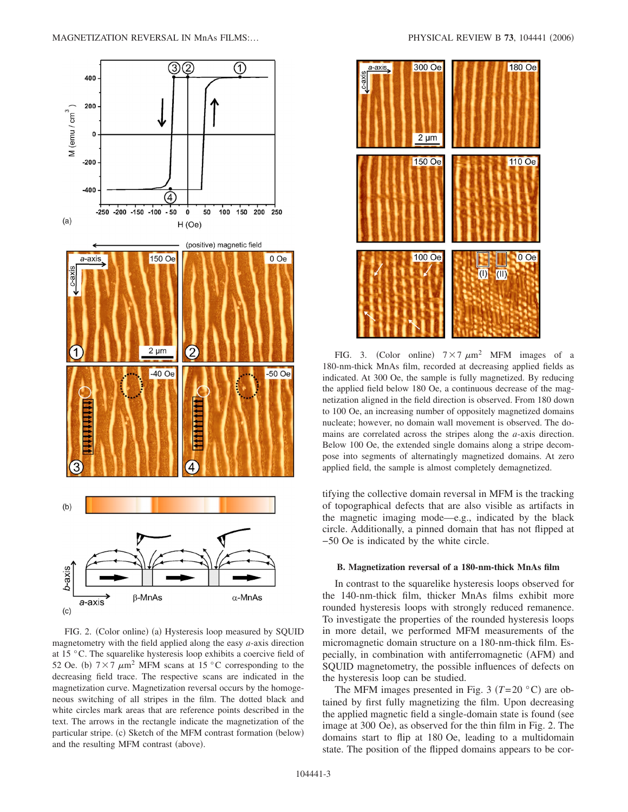

FIG. 2. (Color online) (a) Hysteresis loop measured by SQUID magnetometry with the field applied along the easy *a*-axis direction at 15 °C. The squarelike hysteresis loop exhibits a coercive field of 52 Oe. (b)  $7 \times 7 \mu m^2$  MFM scans at 15 °C corresponding to the decreasing field trace. The respective scans are indicated in the magnetization curve. Magnetization reversal occurs by the homogeneous switching of all stripes in the film. The dotted black and white circles mark areas that are reference points described in the text. The arrows in the rectangle indicate the magnetization of the particular stripe. (c) Sketch of the MFM contrast formation (below) and the resulting MFM contrast (above).



FIG. 3. (Color online)  $7 \times 7 \mu m^2$  MFM images of a 180-nm-thick MnAs film, recorded at decreasing applied fields as indicated. At 300 Oe, the sample is fully magnetized. By reducing the applied field below 180 Oe, a continuous decrease of the magnetization aligned in the field direction is observed. From 180 down to 100 Oe, an increasing number of oppositely magnetized domains nucleate; however, no domain wall movement is observed. The domains are correlated across the stripes along the *a*-axis direction. Below 100 Oe, the extended single domains along a stripe decompose into segments of alternatingly magnetized domains. At zero applied field, the sample is almost completely demagnetized.

tifying the collective domain reversal in MFM is the tracking of topographical defects that are also visible as artifacts in the magnetic imaging mode—e.g., indicated by the black circle. Additionally, a pinned domain that has not flipped at −50 Oe is indicated by the white circle.

## **B. Magnetization reversal of a 180-nm-thick MnAs film**

In contrast to the squarelike hysteresis loops observed for the 140-nm-thick film, thicker MnAs films exhibit more rounded hysteresis loops with strongly reduced remanence. To investigate the properties of the rounded hysteresis loops in more detail, we performed MFM measurements of the micromagnetic domain structure on a 180-nm-thick film. Especially, in combination with antiferromagnetic (AFM) and SQUID magnetometry, the possible influences of defects on the hysteresis loop can be studied.

The MFM images presented in Fig. 3  $(T=20 \degree C)$  are obtained by first fully magnetizing the film. Upon decreasing the applied magnetic field a single-domain state is found (see image at 300 Oe), as observed for the thin film in Fig. 2. The domains start to flip at 180 Oe, leading to a multidomain state. The position of the flipped domains appears to be cor-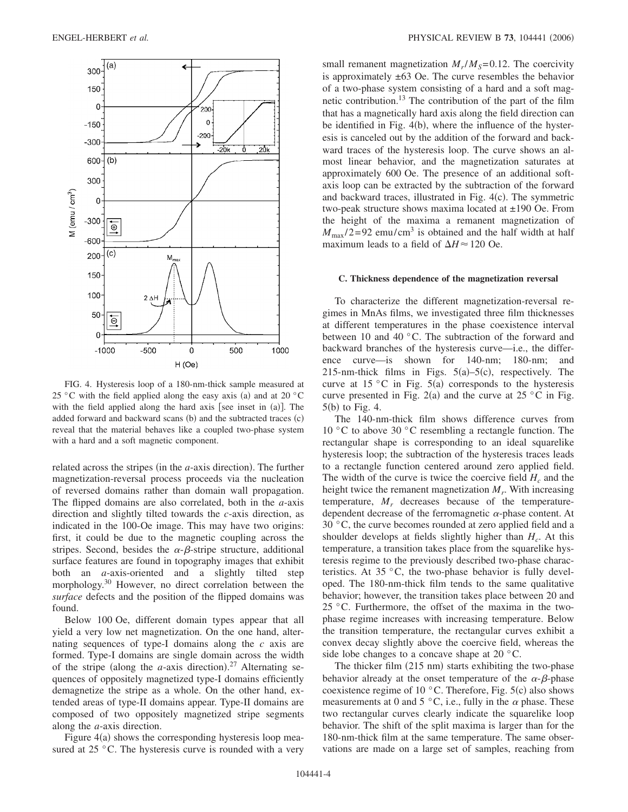

FIG. 4. Hysteresis loop of a 180-nm-thick sample measured at 25 °C with the field applied along the easy axis (a) and at 20 °C with the field applied along the hard axis [see inset in  $(a)$ ]. The added forward and backward scans (b) and the subtracted traces (c) reveal that the material behaves like a coupled two-phase system with a hard and a soft magnetic component.

related across the stripes (in the  $a$ -axis direction). The further magnetization-reversal process proceeds via the nucleation of reversed domains rather than domain wall propagation. The flipped domains are also correlated, both in the *a*-axis direction and slightly tilted towards the *c*-axis direction, as indicated in the 100-Oe image. This may have two origins: first, it could be due to the magnetic coupling across the stripes. Second, besides the  $\alpha$ - $\beta$ -stripe structure, additional surface features are found in topography images that exhibit both an *a*-axis-oriented and a slightly tilted step morphology.<sup>30</sup> However, no direct correlation between the *surface* defects and the position of the flipped domains was found.

Below 100 Oe, different domain types appear that all yield a very low net magnetization. On the one hand, alternating sequences of type-I domains along the *c* axis are formed. Type-I domains are single domain across the width of the stripe (along the *a*-axis direction).<sup>27</sup> Alternating sequences of oppositely magnetized type-I domains efficiently demagnetize the stripe as a whole. On the other hand, extended areas of type-II domains appear. Type-II domains are composed of two oppositely magnetized stripe segments along the *a*-axis direction.

Figure 4(a) shows the corresponding hysteresis loop measured at 25 °C. The hysteresis curve is rounded with a very small remanent magnetization  $M_r/M_s = 0.12$ . The coercivity is approximately  $\pm 63$  Oe. The curve resembles the behavior of a two-phase system consisting of a hard and a soft magnetic contribution.13 The contribution of the part of the film that has a magnetically hard axis along the field direction can be identified in Fig. 4(b), where the influence of the hysteresis is canceled out by the addition of the forward and backward traces of the hysteresis loop. The curve shows an almost linear behavior, and the magnetization saturates at approximately 600 Oe. The presence of an additional softaxis loop can be extracted by the subtraction of the forward and backward traces, illustrated in Fig. 4(c). The symmetric two-peak structure shows maxima located at ±190 Oe. From the height of the maxima a remanent magnetization of  $M_{\text{max}}$ /2=92 emu/cm<sup>3</sup> is obtained and the half width at half maximum leads to a field of  $\Delta H \approx 120$  Oe.

## **C. Thickness dependence of the magnetization reversal**

To characterize the different magnetization-reversal regimes in MnAs films, we investigated three film thicknesses at different temperatures in the phase coexistence interval between 10 and 40 °C. The subtraction of the forward and backward branches of the hysteresis curve—i.e., the difference curve—is shown for 140-nm; 180-nm; and 215-nm-thick films in Figs.  $5(a)$ - $5(c)$ , respectively. The curve at 15 °C in Fig. 5(a) corresponds to the hysteresis curve presented in Fig. 2(a) and the curve at  $25^{\circ}$ C in Fig.  $5(b)$  to Fig. 4.

The 140-nm-thick film shows difference curves from 10 °C to above 30 °C resembling a rectangle function. The rectangular shape is corresponding to an ideal squarelike hysteresis loop; the subtraction of the hysteresis traces leads to a rectangle function centered around zero applied field. The width of the curve is twice the coercive field  $H_c$  and the height twice the remanent magnetization *Mr*. With increasing temperature,  $M_r$  decreases because of the temperaturedependent decrease of the ferromagnetic  $\alpha$ -phase content. At 30 °C, the curve becomes rounded at zero applied field and a shoulder develops at fields slightly higher than  $H_c$ . At this temperature, a transition takes place from the squarelike hysteresis regime to the previously described two-phase characteristics. At 35 °C, the two-phase behavior is fully developed. The 180-nm-thick film tends to the same qualitative behavior; however, the transition takes place between 20 and 25 °C. Furthermore, the offset of the maxima in the twophase regime increases with increasing temperature. Below the transition temperature, the rectangular curves exhibit a convex decay slightly above the coercive field, whereas the side lobe changes to a concave shape at 20 °C.

The thicker film (215 nm) starts exhibiting the two-phase behavior already at the onset temperature of the  $\alpha$ - $\beta$ -phase coexistence regime of 10  $^{\circ}$ C. Therefore, Fig. 5(c) also shows measurements at 0 and 5  $\degree$ C, i.e., fully in the  $\alpha$  phase. These two rectangular curves clearly indicate the squarelike loop behavior. The shift of the split maxima is larger than for the 180-nm-thick film at the same temperature. The same observations are made on a large set of samples, reaching from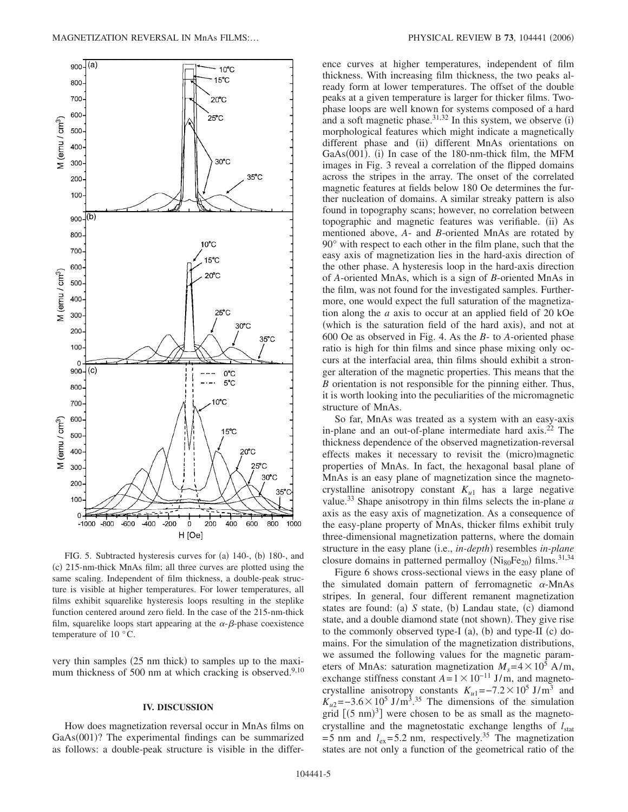

FIG. 5. Subtracted hysteresis curves for (a) 140-, (b) 180-, and (c) 215-nm-thick MnAs film; all three curves are plotted using the same scaling. Independent of film thickness, a double-peak structure is visible at higher temperatures. For lower temperatures, all films exhibit squarelike hysteresis loops resulting in the steplike function centered around zero field. In the case of the 215-nm-thick film, squarelike loops start appearing at the  $\alpha$ - $\beta$ -phase coexistence temperature of 10 °C.

very thin samples (25 nm thick) to samples up to the maximum thickness of 500 nm at which cracking is observed. $9,10$ 

## **IV. DISCUSSION**

How does magnetization reversal occur in MnAs films on GaAs(001)? The experimental findings can be summarized as follows: a double-peak structure is visible in the difference curves at higher temperatures, independent of film thickness. With increasing film thickness, the two peaks already form at lower temperatures. The offset of the double peaks at a given temperature is larger for thicker films. Twophase loops are well known for systems composed of a hard and a soft magnetic phase.<sup>31,32</sup> In this system, we observe  $(i)$ morphological features which might indicate a magnetically different phase and (ii) different MnAs orientations on GaAs(001). (i) In case of the 180-nm-thick film, the MFM images in Fig. 3 reveal a correlation of the flipped domains across the stripes in the array. The onset of the correlated magnetic features at fields below 180 Oe determines the further nucleation of domains. A similar streaky pattern is also found in topography scans; however, no correlation between topographic and magnetic features was verifiable. (ii) As mentioned above, *A*- and *B*-oriented MnAs are rotated by 90° with respect to each other in the film plane, such that the easy axis of magnetization lies in the hard-axis direction of the other phase. A hysteresis loop in the hard-axis direction of *A*-oriented MnAs, which is a sign of *B*-oriented MnAs in the film, was not found for the investigated samples. Furthermore, one would expect the full saturation of the magnetization along the *a* axis to occur at an applied field of 20 kOe (which is the saturation field of the hard axis), and not at 600 Oe as observed in Fig. 4. As the *B*- to *A*-oriented phase ratio is high for thin films and since phase mixing only occurs at the interfacial area, thin films should exhibit a stronger alteration of the magnetic properties. This means that the *B* orientation is not responsible for the pinning either. Thus, it is worth looking into the peculiarities of the micromagnetic structure of MnAs.

So far, MnAs was treated as a system with an easy-axis in-plane and an out-of-plane intermediate hard  $axis.<sup>22</sup>$  The thickness dependence of the observed magnetization-reversal effects makes it necessary to revisit the (micro)magnetic properties of MnAs. In fact, the hexagonal basal plane of MnAs is an easy plane of magnetization since the magnetocrystalline anisotropy constant *Ku*<sup>1</sup> has a large negative value.33 Shape anisotropy in thin films selects the in-plane *a* axis as the easy axis of magnetization. As a consequence of the easy-plane property of MnAs, thicker films exhibit truly three-dimensional magnetization patterns, where the domain structure in the easy plane (i.e., *in-depth*) resembles *in-plane* closure domains in patterned permalloy  $(Ni_{80}Fe_{20})$  films.<sup>31,34</sup>

Figure 6 shows cross-sectional views in the easy plane of the simulated domain pattern of ferromagnetic  $\alpha$ -MnAs stripes. In general, four different remanent magnetization states are found: (a) S state, (b) Landau state, (c) diamond state, and a double diamond state (not shown). They give rise to the commonly observed type-I  $(a)$ ,  $(b)$  and type-II  $(c)$  domains. For the simulation of the magnetization distributions, we assumed the following values for the magnetic parameters of MnAs: saturation magnetization  $M_s = 4 \times 10^5$  A/m, exchange stiffness constant  $A = 1 \times 10^{-11}$  J/m, and magnetocrystalline anisotropy constants  $K_{u1} = -7.2 \times 10^5 \text{ J/m}^3$  and  $K_{u2} = -3.6 \times 10^5 \text{ J/m}^3$ <sup>35</sup> The dimensions of the simulation grid  $[(5 \text{ nm})^3]$  were chosen to be as small as the magnetocrystalline and the magnetostatic exchange lengths of  $l_{stat}$  $=$  5 nm and  $l_{ex}$  = 5.2 nm, respectively.<sup>35</sup> The magnetization states are not only a function of the geometrical ratio of the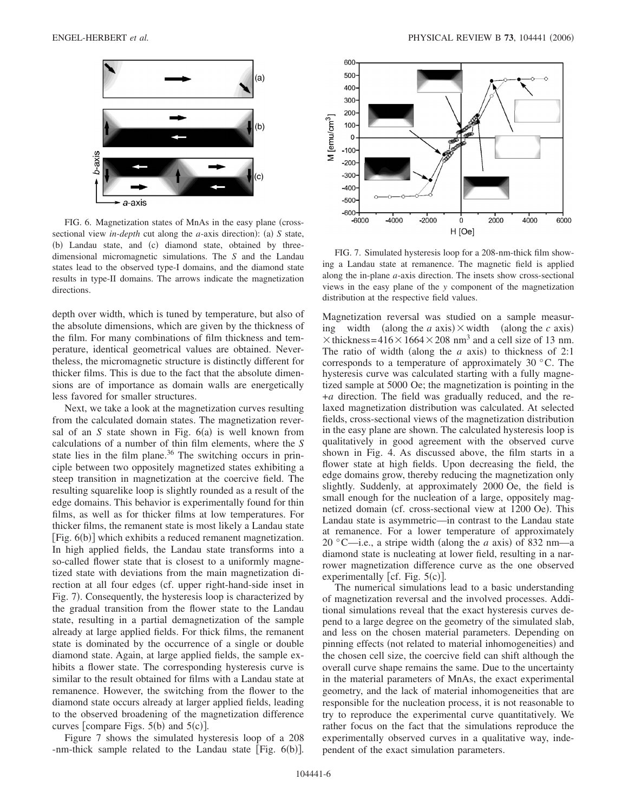

FIG. 6. Magnetization states of MnAs in the easy plane (crosssectional view *in-depth* cut along the *a*-axis direction): (a) *S* state, (b) Landau state, and (c) diamond state, obtained by threedimensional micromagnetic simulations. The *S* and the Landau states lead to the observed type-I domains, and the diamond state results in type-II domains. The arrows indicate the magnetization directions.

depth over width, which is tuned by temperature, but also of the absolute dimensions, which are given by the thickness of the film. For many combinations of film thickness and temperature, identical geometrical values are obtained. Nevertheless, the micromagnetic structure is distinctly different for thicker films. This is due to the fact that the absolute dimensions are of importance as domain walls are energetically less favored for smaller structures.

Next, we take a look at the magnetization curves resulting from the calculated domain states. The magnetization reversal of an *S* state shown in Fig. 6(a) is well known from calculations of a number of thin film elements, where the *S* state lies in the film plane. $36$  The switching occurs in principle between two oppositely magnetized states exhibiting a steep transition in magnetization at the coercive field. The resulting squarelike loop is slightly rounded as a result of the edge domains. This behavior is experimentally found for thin films, as well as for thicker films at low temperatures. For thicker films, the remanent state is most likely a Landau state [Fig. 6(b)] which exhibits a reduced remanent magnetization. In high applied fields, the Landau state transforms into a so-called flower state that is closest to a uniformly magnetized state with deviations from the main magnetization direction at all four edges (cf. upper right-hand-side inset in Fig. 7). Consequently, the hysteresis loop is characterized by the gradual transition from the flower state to the Landau state, resulting in a partial demagnetization of the sample already at large applied fields. For thick films, the remanent state is dominated by the occurrence of a single or double diamond state. Again, at large applied fields, the sample exhibits a flower state. The corresponding hysteresis curve is similar to the result obtained for films with a Landau state at remanence. However, the switching from the flower to the diamond state occurs already at larger applied fields, leading to the observed broadening of the magnetization difference curves [compare Figs.  $5(b)$  and  $5(c)$ ].

Figure 7 shows the simulated hysteresis loop of a 208 -nm-thick sample related to the Landau state [Fig.  $6(b)$ ].



FIG. 7. Simulated hysteresis loop for a 208-nm-thick film showing a Landau state at remanence. The magnetic field is applied along the in-plane *a*-axis direction. The insets show cross-sectional views in the easy plane of the *y* component of the magnetization distribution at the respective field values.

Magnetization reversal was studied on a sample measuring width (along the *a* axis)  $\times$  width (along the *c* axis)  $\times$  thickness= 416  $\times$  1664  $\times$  208 nm<sup>3</sup> and a cell size of 13 nm. The ratio of width (along the  $a$  axis) to thickness of 2:1 corresponds to a temperature of approximately 30 °C. The hysteresis curve was calculated starting with a fully magnetized sample at 5000 Oe; the magnetization is pointing in the +*a* direction. The field was gradually reduced, and the relaxed magnetization distribution was calculated. At selected fields, cross-sectional views of the magnetization distribution in the easy plane are shown. The calculated hysteresis loop is qualitatively in good agreement with the observed curve shown in Fig. 4. As discussed above, the film starts in a flower state at high fields. Upon decreasing the field, the edge domains grow, thereby reducing the magnetization only slightly. Suddenly, at approximately 2000 Oe, the field is small enough for the nucleation of a large, oppositely magnetized domain (cf. cross-sectional view at 1200 Oe). This Landau state is asymmetric—in contrast to the Landau state at remanence. For a lower temperature of approximately 20 °C—i.e., a stripe width (along the  $a$  axis) of 832 nm—a diamond state is nucleating at lower field, resulting in a narrower magnetization difference curve as the one observed experimentally [cf. Fig.  $5(c)$ ].

The numerical simulations lead to a basic understanding of magnetization reversal and the involved processes. Additional simulations reveal that the exact hysteresis curves depend to a large degree on the geometry of the simulated slab, and less on the chosen material parameters. Depending on pinning effects (not related to material inhomogeneities) and the chosen cell size, the coercive field can shift although the overall curve shape remains the same. Due to the uncertainty in the material parameters of MnAs, the exact experimental geometry, and the lack of material inhomogeneities that are responsible for the nucleation process, it is not reasonable to try to reproduce the experimental curve quantitatively. We rather focus on the fact that the simulations reproduce the experimentally observed curves in a qualitative way, independent of the exact simulation parameters.